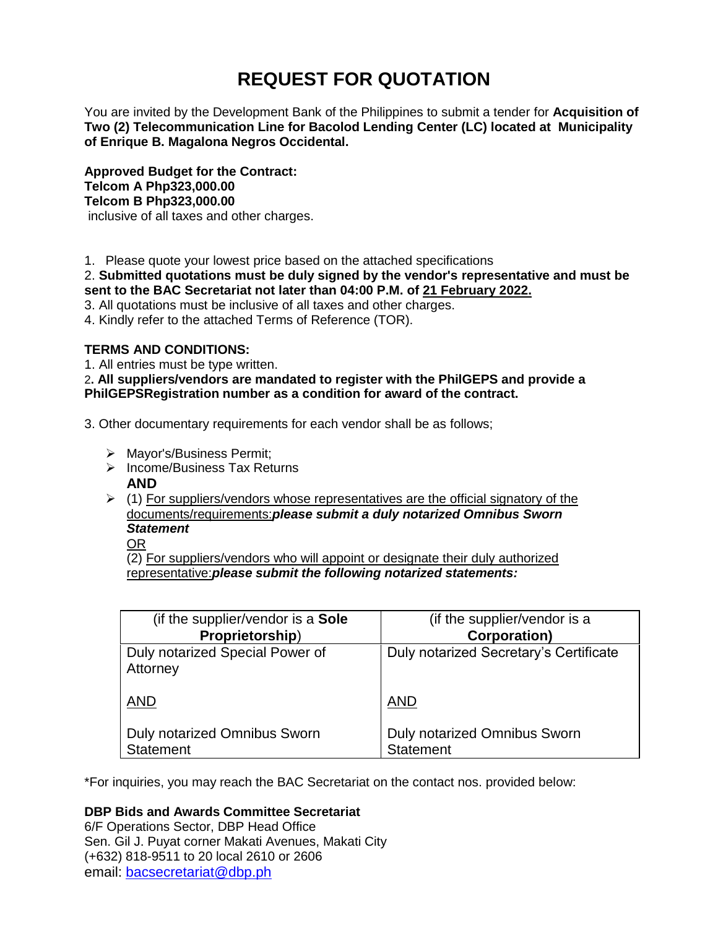# **REQUEST FOR QUOTATION**

You are invited by the Development Bank of the Philippines to submit a tender for **Acquisition of Two (2) Telecommunication Line for Bacolod Lending Center (LC) located at Municipality of Enrique B. Magalona Negros Occidental.**

**Approved Budget for the Contract: Telcom A Php323,000.00 Telcom B Php323,000.00** inclusive of all taxes and other charges.

1. Please quote your lowest price based on the attached specifications

2. **Submitted quotations must be duly signed by the vendor's representative and must be sent to the BAC Secretariat not later than 04:00 P.M. of 21 February 2022.**

3. All quotations must be inclusive of all taxes and other charges.

4. Kindly refer to the attached Terms of Reference (TOR).

# **TERMS AND CONDITIONS:**

1. All entries must be type written.

2**. All suppliers/vendors are mandated to register with the PhilGEPS and provide a PhilGEPSRegistration number as a condition for award of the contract.**

3. Other documentary requirements for each vendor shall be as follows;

- > Mayor's/Business Permit;
- $\triangleright$  Income/Business Tax Returns **AND**
- $\geq$  (1) For suppliers/vendors whose representatives are the official signatory of the documents/requirements:*please submit a duly notarized Omnibus Sworn Statement*

OR

(2) For suppliers/vendors who will appoint or designate their duly authorized representative:*please submit the following notarized statements:*

| (if the supplier/vendor is a Sole           | (if the supplier/vendor is a           |
|---------------------------------------------|----------------------------------------|
| Proprietorship)                             | <b>Corporation)</b>                    |
| Duly notarized Special Power of<br>Attorney | Duly notarized Secretary's Certificate |
| <b>AND</b>                                  | <b>AND</b>                             |
| <b>Duly notarized Omnibus Sworn</b>         | <b>Duly notarized Omnibus Sworn</b>    |
| <b>Statement</b>                            | <b>Statement</b>                       |

\*For inquiries, you may reach the BAC Secretariat on the contact nos. provided below:

**DBP Bids and Awards Committee Secretariat** 

6/F Operations Sector, DBP Head Office Sen. Gil J. Puyat corner Makati Avenues, Makati City (+632) 818-9511 to 20 local 2610 or 2606 email: [bacsecretariat@dbp.ph](mailto:bacsecretariat@dbp.ph)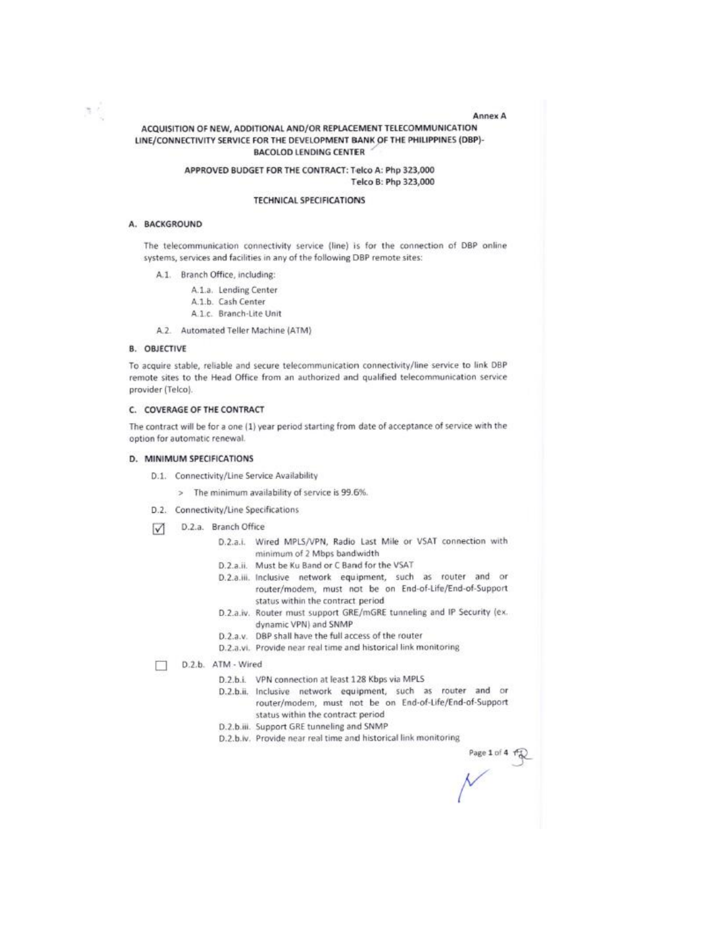#### Annex A

# ACQUISITION OF NEW, ADDITIONAL AND/OR REPLACEMENT TELECOMMUNICATION LINE/CONNECTIVITY SERVICE FOR THE DEVELOPMENT BANK OF THE PHILIPPINES (DBP)-**BACOLOD LENDING CENTER**

#### APPROVED BUDGET FOR THE CONTRACT: Telco A: Php 323,000 Telco B: Php 323,000

#### **TECHNICAL SPECIFICATIONS**

#### A. BACKGROUND

推す

The telecommunication connectivity service (line) is for the connection of DBP online systems, services and facilities in any of the following DBP remote sites:

- A.1. Branch Office, including:
	- A.1.a. Lending Center
	- A.1.b. Cash Center
	- A.1.c. Branch-Lite Unit
- A.2. Automated Teller Machine (ATM)

#### **B. OBJECTIVE**

To acquire stable, reliable and secure telecommunication connectivity/line service to link DBP remote sites to the Head Office from an authorized and qualified telecommunication service provider (Telco).

#### C. COVERAGE OF THE CONTRACT

The contract will be for a one (1) year period starting from date of acceptance of service with the option for automatic renewal.

#### D. MINIMUM SPECIFICATIONS

- D.1. Connectivity/Line Service Availability
	- > The minimum availability of service is 99.6%.
- D.2. Connectivity/Line Specifications
- D.2.a. Branch Office  $\sqrt{}$ 
	- D.2.a.i. Wired MPLS/VPN, Radio Last Mile or VSAT connection with minimum of 2 Mbps bandwidth
	- D.2.a.ii. Must be Ku Band or C Band for the VSAT
	- D.2.a.iii. Inclusive network equipment, such as router and or router/modem, must not be on End-of-Life/End-of-Support status within the contract period
	- D.2.a.iv. Router must support GRE/mGRE tunneling and IP Security (ex. dynamic VPN) and SNMP
	- D.2.a.v. DBP shall have the full access of the router
	- D.2.a.vi. Provide near real time and historical link monitoring

D.2.b. ATM - Wired П

- D.2.b.i. VPN connection at least 128 Kbps via MPLS
- D.2.b.ii. Inclusive network equipment, such as router and or router/modem, must not be on End-of-Life/End-of-Support status within the contract period
- D.2.b.iii. Support GRE tunneling and SNMP
- D.2.b.iv. Provide near real time and historical link monitoring

age 1 of 4 for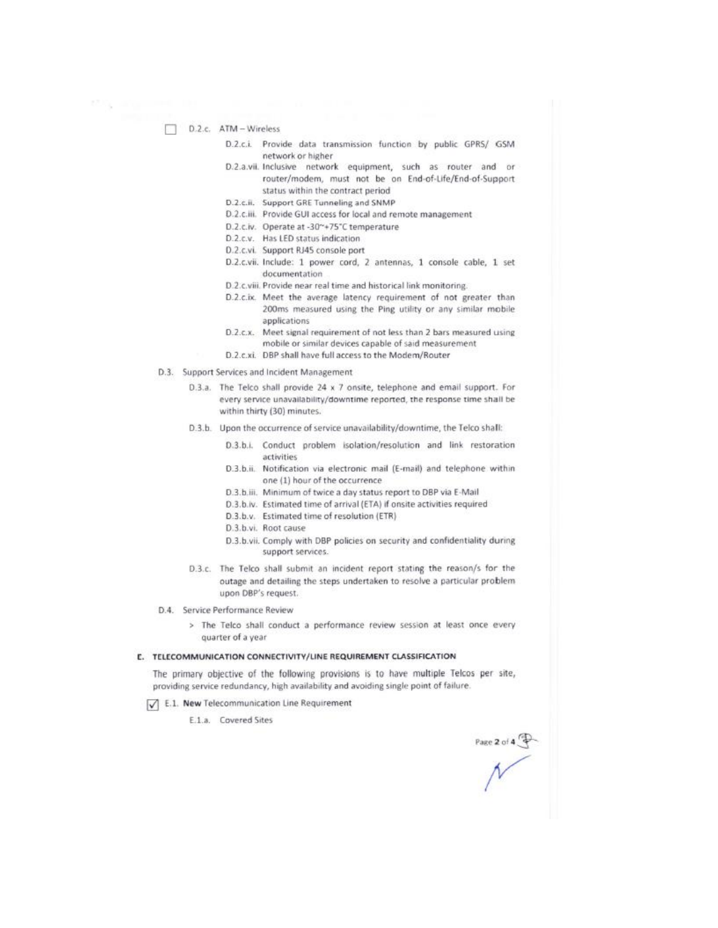D.2.c. ATM - Wireless

- D.2.c.i. Provide data transmission function by public GPRS/ GSM network or higher
- D.2.a.vii. Inclusive network equipment, such as router and or router/modem, must not be on End-of-Life/End-of-Support status within the contract period
- D.2.c.ii. Support GRE Tunneling and SNMP
- D.2.c.iii. Provide GUI access for local and remote management
- D.2.c.iv. Operate at -30~+75°C temperature
- D.2.c.v. Has LED status indication
- D.2.c.vi. Support RJ45 console port
- D.2.c.vii. Include: 1 power cord, 2 antennas, 1 console cable, 1 set documentation
- D.2.c.viii. Provide near real time and historical link monitoring.
- D.2.c.ix. Meet the average latency requirement of not greater than 200ms measured using the Ping utility or any similar mobile applications
- D.2.c.x. Meet signal requirement of not less than 2 bars measured using mobile or similar devices capable of said measurement
- D.2.c.xi. DBP shall have full access to the Modem/Router
- D.3. Support Services and Incident Management
	- D.3.a. The Telco shall provide 24 x 7 onsite, telephone and email support. For every service unavailability/downtime reported, the response time shall be within thirty (30) minutes.
	- D.3.b. Upon the occurrence of service unavailability/downtime, the Telco shall:
		- D.3.b.i. Conduct problem isolation/resolution and link restoration activities
		- D.3.b.ii. Notification via electronic mail (E-mail) and telephone within one (1) hour of the occurrence
		- D.3.b.iii. Minimum of twice a day status report to DBP via E-Mail
		- D.3.b.iv. Estimated time of arrival (ETA) if onsite activities required
		- D.3.b.v. Estimated time of resolution (ETR)
		- D.3.b.vi. Root cause
		- D.3.b.vii. Comply with DBP policies on security and confidentiality during support services.
	- D.3.c. The Telco shall submit an incident report stating the reason/s for the outage and detailing the steps undertaken to resolve a particular problem upon DBP's request.
- D.4. Service Performance Review
	- > The Telco shall conduct a performance review session at least once every quarter of a year

#### E. TELECOMMUNICATION CONNECTIVITY/LINE REQUIREMENT CLASSIFICATION

The primary objective of the following provisions is to have multiple Telcos per site, providing service redundancy, high availability and avoiding single point of failure.

- [V] E.1. New Telecommunication Line Requirement
	- E.1.a. Covered Sites

Page 2 of 4  $+$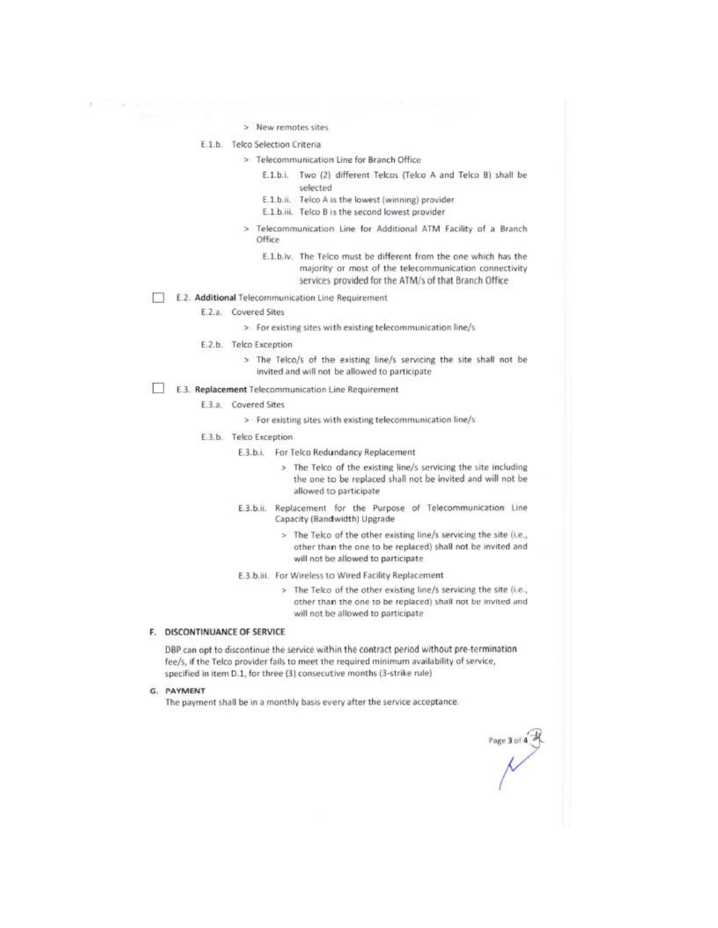> New remotes sites

#### E.1.b. Telco Selection Criteria

- > Telecommunication Line for Branch Office
	- E.1.b.i. Two (2) different Telcos (Telco A and Telco B) shall be selected
	- E.1.b.ii. Telco A is the lowest (winning) provider
	- E.1.b.iii. Telco B is the second lowest provider
- > Telecommunication Line for Additional ATM Facility of a Branch Office
	- E.1.b.iv. The Telco must be different from the one which has the majority or most of the telecommunication connectivity services provided for the ATM/s of that Branch Office

# E.2. Additional Telecommunication Line Requirement

- E.2.a. Covered Sites
	- > For existing sites with existing telecommunication line/s
- E.2.b. Telco Exception
	- > The Telco/s of the existing line/s servicing the site shall not be invited and will not be allowed to participate

# E.3. Replacement Telecommunication Line Requirement

- E.3.a. Covered Sites
	- > For existing sites with existing telecommunication line/s
- E.3.b. Telco Exception
	- E.3.b.i. For Telco Redundancy Replacement
		- > The Telco of the existing line/s servicing the site including the one to be replaced shall not be invited and will not be allowed to participate
	- E.3.b.ii. Replacement for the Purpose of Telecommunication Line Capacity (Bandwidth) Upgrade
		- > The Telco of the other existing line/s servicing the site (i.e., other than the one to be replaced) shall not be invited and will not be allowed to participate
	- E.3.b.iii. For Wireless to Wired Facility Replacement
		- > The Telco of the other existing line/s servicing the site (i.e., other than the one to be replaced) shall not be invited and will not be allowed to participate

# F. DISCONTINUANCE OF SERVICE

DBP can opt to discontinue the service within the contract period without pre-termination fee/s, if the Telco provider fails to meet the required minimum availability of service, specified in item D.1, for three (3) consecutive months (3-strike rule)

G. PAYMENT

The payment shall be in a monthly basis every after the service acceptance.

Page 3 of 4